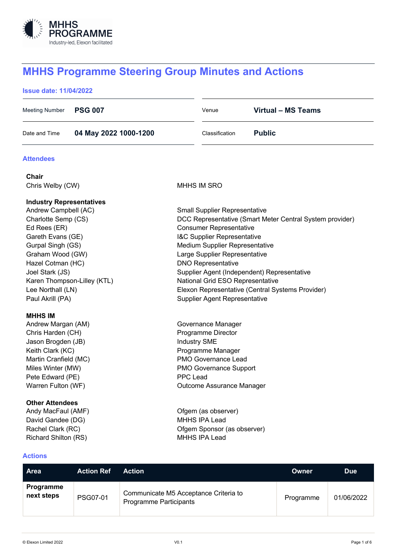

# **MHHS Programme Steering Group Minutes and Actions**

# **Issue date: 11/04/2022**

| Meeting Number <b>PSG 007</b> |                       | Venue          | Virtual - MS Teams |
|-------------------------------|-----------------------|----------------|--------------------|
| Date and Time                 | 04 May 2022 1000-1200 | Classification | <b>Public</b>      |

#### **Attendees**

**Chair** Chris Welby (CW) **MHHS IM SRO** 

#### **Industry Representatives**

Andrew Campbell (AC) Small Supplier Representative Charlotte Semp (CS) DCC Representative (Smart Meter Central System provider) Ed Rees (ER) Consumer Representative Gareth Evans (GE) **I&C** Supplier Representative Gurpal Singh (GS) Medium Supplier Representative Graham Wood (GW) Large Supplier Representative Hazel Cotman (HC) DNO Representative Joel Stark (JS) Supplier Agent (Independent) Representative Karen Thompson-Lilley (KTL) National Grid ESO Representative Lee Northall (LN) Elexon Representative (Central Systems Provider) Paul Akrill (PA) Supplier Agent Representative

#### **MHHS IM**

Andrew Margan (AM) Governance Manager Chris Harden (CH) **Programme Director** Jason Brogden (JB) Industry SME Keith Clark (KC) **Programme Manager** Martin Cranfield (MC) National Covernance Lead Miles Winter (MW) PMO Governance Support Pete Edward (PE) PPC Lead Warren Fulton (WF) CHANNELL COULCOME Assurance Manager

# **Other Attendees**

Andy MacFaul (AMF) Channel Company Company (as observer) David Gandee (DG) New York Canada Muslim Muslim Muslim Muslim Muslim Muslim Muslim Muslim Muslim Muslim Muslim Muslim Muslim Muslim Muslim Muslim Muslim Muslim Muslim Muslim Muslim Muslim Muslim Muslim Muslim Muslim Muslim Rachel Clark (RC) **Clark (RC) Clark (RC) Ofgem Sponsor (as observer)** Richard Shilton (RS) MHHS IPA Lead

# **Actions**

| .                              |                   |                                                                        |              |            |
|--------------------------------|-------------------|------------------------------------------------------------------------|--------------|------------|
| <b>Area</b>                    | <b>Action Ref</b> | <b>Action</b>                                                          | <b>Owner</b> | <b>Due</b> |
| <b>Programme</b><br>next steps | PSG07-01          | Communicate M5 Acceptance Criteria to<br><b>Programme Participants</b> | Programme    | 01/06/2022 |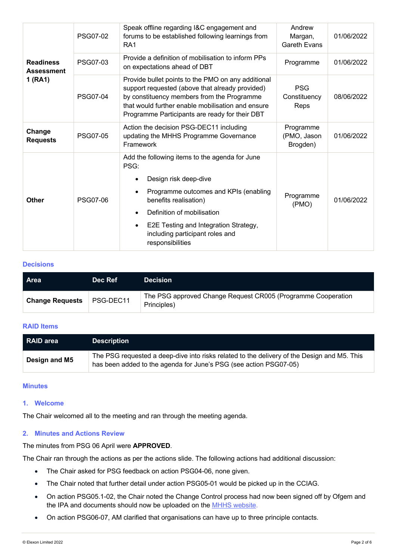| <b>Readiness</b><br><b>Assessment</b><br>1(RA1) | PSG07-02        | Speak offline regarding I&C engagement and<br>forums to be established following learnings from<br>RA <sub>1</sub>                                                                                                                                                                           | Andrew<br>Margan,<br><b>Gareth Evans</b> | 01/06/2022 |
|-------------------------------------------------|-----------------|----------------------------------------------------------------------------------------------------------------------------------------------------------------------------------------------------------------------------------------------------------------------------------------------|------------------------------------------|------------|
|                                                 | <b>PSG07-03</b> | Provide a definition of mobilisation to inform PPs<br>on expectations ahead of DBT                                                                                                                                                                                                           | Programme                                | 01/06/2022 |
|                                                 | <b>PSG07-04</b> | Provide bullet points to the PMO on any additional<br>support requested (above that already provided)<br>by constituency members from the Programme<br>that would further enable mobilisation and ensure<br>Programme Participants are ready for their DBT                                   | <b>PSG</b><br>Constituency<br>Reps       | 08/06/2022 |
| Change<br><b>Requests</b>                       | <b>PSG07-05</b> | Action the decision PSG-DEC11 including<br>updating the MHHS Programme Governance<br>Framework                                                                                                                                                                                               | Programme<br>(PMO, Jason<br>Brogden)     | 01/06/2022 |
| <b>Other</b>                                    | <b>PSG07-06</b> | Add the following items to the agenda for June<br>PSG:<br>Design risk deep-dive<br>Programme outcomes and KPIs (enabling<br>benefits realisation)<br>Definition of mobilisation<br>E2E Testing and Integration Strategy,<br>$\bullet$<br>including participant roles and<br>responsibilities | Programme<br>(PMO)                       | 01/06/2022 |

# **Decisions**

| <b>Area</b>            | Dec Ref   | <b>Decision</b>                                                             |
|------------------------|-----------|-----------------------------------------------------------------------------|
| <b>Change Requests</b> | PSG-DEC11 | The PSG approved Change Request CR005 (Programme Cooperation<br>Principles) |

# **RAID Items**

| l RAID area   | <b>Description</b>                                                                                                                                               |
|---------------|------------------------------------------------------------------------------------------------------------------------------------------------------------------|
| Design and M5 | The PSG requested a deep-dive into risks related to the delivery of the Design and M5. This<br>has been added to the agenda for June's PSG (see action PSG07-05) |

# **Minutes**

# **1. Welcome**

The Chair welcomed all to the meeting and ran through the meeting agenda.

# **2. Minutes and Actions Review**

The minutes from PSG 06 April were **APPROVED**.

The Chair ran through the actions as per the actions slide. The following actions had additional discussion:

- The Chair asked for PSG feedback on action PSG04-06, none given.
- The Chair noted that further detail under action PSG05-01 would be picked up in the CCIAG.
- On action PSG05.1-02, the Chair noted the Change Control process had now been signed off by Ofgem and the IPA and documents should now be uploaded on the MHHS website.
- On action PSG06-07, AM clarified that organisations can have up to three principle contacts.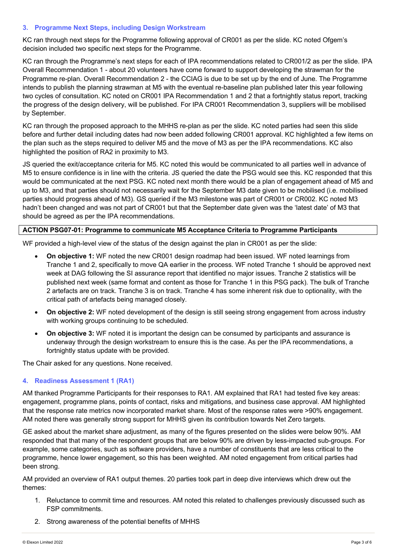# **3. Programme Next Steps, including Design Workstream**

KC ran through next steps for the Programme following approval of CR001 as per the slide. KC noted Ofgem's decision included two specific next steps for the Programme.

KC ran through the Programme's next steps for each of IPA recommendations related to CR001/2 as per the slide. IPA Overall Recommendation 1 - about 20 volunteers have come forward to support developing the strawman for the Programme re-plan. Overall Recommendation 2 - the CCIAG is due to be set up by the end of June. The Programme intends to publish the planning strawman at M5 with the eventual re-baseline plan published later this year following two cycles of consultation. KC noted on CR001 IPA Recommendation 1 and 2 that a fortnightly status report, tracking the progress of the design delivery, will be published. For IPA CR001 Recommendation 3, suppliers will be mobilised by September.

KC ran through the proposed approach to the MHHS re-plan as per the slide. KC noted parties had seen this slide before and further detail including dates had now been added following CR001 approval. KC highlighted a few items on the plan such as the steps required to deliver M5 and the move of M3 as per the IPA recommendations. KC also highlighted the position of RA2 in proximity to M3.

JS queried the exit/acceptance criteria for M5. KC noted this would be communicated to all parties well in advance of M5 to ensure confidence is in line with the criteria. JS queried the date the PSG would see this. KC responded that this would be communicated at the next PSG. KC noted next month there would be a plan of engagement ahead of M5 and up to M3, and that parties should not necessarily wait for the September M3 date given to be mobilised (i.e. mobilised parties should progress ahead of M3). GS queried if the M3 milestone was part of CR001 or CR002. KC noted M3 hadn't been changed and was not part of CR001 but that the September date given was the 'latest date' of M3 that should be agreed as per the IPA recommendations.

### **ACTION PSG07-01: Programme to communicate M5 Acceptance Criteria to Programme Participants**

WF provided a high-level view of the status of the design against the plan in CR001 as per the slide:

- **On objective 1:** WF noted the new CR001 design roadmap had been issued. WF noted learnings from Tranche 1 and 2, specifically to move QA earlier in the process. WF noted Tranche 1 should be approved next week at DAG following the SI assurance report that identified no major issues. Tranche 2 statistics will be published next week (same format and content as those for Tranche 1 in this PSG pack). The bulk of Tranche 2 artefacts are on track. Tranche 3 is on track. Tranche 4 has some inherent risk due to optionality, with the critical path of artefacts being managed closely.
- **On objective 2:** WF noted development of the design is still seeing strong engagement from across industry with working groups continuing to be scheduled.
- **On objective 3:** WF noted it is important the design can be consumed by participants and assurance is underway through the design workstream to ensure this is the case. As per the IPA recommendations, a fortnightly status update with be provided.

The Chair asked for any questions. None received.

# **4. Readiness Assessment 1 (RA1)**

AM thanked Programme Participants for their responses to RA1. AM explained that RA1 had tested five key areas: engagement, programme plans, points of contact, risks and mitigations, and business case approval. AM highlighted that the response rate metrics now incorporated market share. Most of the response rates were >90% engagement. AM noted there was generally strong support for MHHS given its contribution towards Net Zero targets.

GE asked about the market share adjustment, as many of the figures presented on the slides were below 90%. AM responded that that many of the respondent groups that are below 90% are driven by less-impacted sub-groups. For example, some categories, such as software providers, have a number of constituents that are less critical to the programme, hence lower engagement, so this has been weighted. AM noted engagement from critical parties had been strong.

AM provided an overview of RA1 output themes. 20 parties took part in deep dive interviews which drew out the themes:

- 1. Reluctance to commit time and resources. AM noted this related to challenges previously discussed such as FSP commitments.
- 2. Strong awareness of the potential benefits of MHHS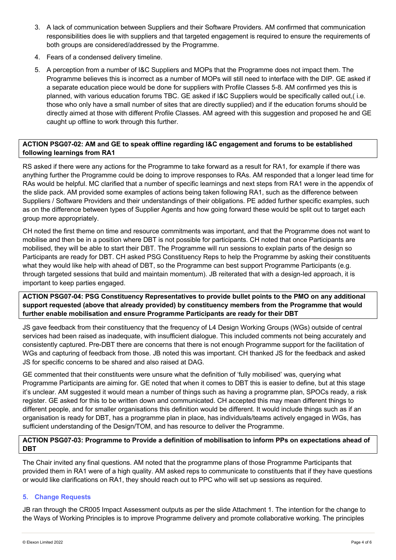- 3. A lack of communication between Suppliers and their Software Providers. AM confirmed that communication responsibilities does lie with suppliers and that targeted engagement is required to ensure the requirements of both groups are considered/addressed by the Programme.
- 4. Fears of a condensed delivery timeline.
- 5. A perception from a number of I&C Suppliers and MOPs that the Programme does not impact them. The Programme believes this is incorrect as a number of MOPs will still need to interface with the DIP. GE asked if a separate education piece would be done for suppliers with Profile Classes 5-8. AM confirmed yes this is planned, with various education forums TBC. GE asked if I&C Suppliers would be specifically called out,( i.e. those who only have a small number of sites that are directly supplied) and if the education forums should be directly aimed at those with different Profile Classes. AM agreed with this suggestion and proposed he and GE caught up offline to work through this further.

# **ACTION PSG07-02: AM and GE to speak offline regarding I&C engagement and forums to be established following learnings from RA1**

RS asked if there were any actions for the Programme to take forward as a result for RA1, for example if there was anything further the Programme could be doing to improve responses to RAs. AM responded that a longer lead time for RAs would be helpful. MC clarified that a number of specific learnings and next steps from RA1 were in the appendix of the slide pack. AM provided some examples of actions being taken following RA1, such as the difference between Suppliers / Software Providers and their understandings of their obligations. PE added further specific examples, such as on the difference between types of Supplier Agents and how going forward these would be split out to target each group more appropriately.

CH noted the first theme on time and resource commitments was important, and that the Programme does not want to mobilise and then be in a position where DBT is not possible for participants. CH noted that once Participants are mobilised, they will be able to start their DBT. The Programme will run sessions to explain parts of the design so Participants are ready for DBT. CH asked PSG Constituency Reps to help the Programme by asking their constituents what they would like help with ahead of DBT, so the Programme can best support Programme Participants (e.g. through targeted sessions that build and maintain momentum). JB reiterated that with a design-led approach, it is important to keep parties engaged.

**ACTION PSG07-04: PSG Constituency Representatives to provide bullet points to the PMO on any additional support requested (above that already provided) by constituency members from the Programme that would further enable mobilisation and ensure Programme Participants are ready for their DBT**

JS gave feedback from their constituency that the frequency of L4 Design Working Groups (WGs) outside of central services had been raised as inadequate, with insufficient dialogue. This included comments not being accurately and consistently captured. Pre-DBT there are concerns that there is not enough Programme support for the facilitation of WGs and capturing of feedback from those. JB noted this was important. CH thanked JS for the feedback and asked JS for specific concerns to be shared and also raised at DAG.

GE commented that their constituents were unsure what the definition of 'fully mobilised' was, querying what Programme Participants are aiming for. GE noted that when it comes to DBT this is easier to define, but at this stage it's unclear. AM suggested it would mean a number of things such as having a programme plan, SPOCs ready, a risk register. GE asked for this to be written down and communicated. CH accepted this may mean different things to different people, and for smaller organisations this definition would be different. It would include things such as if an organisation is ready for DBT, has a programme plan in place, has individuals/teams actively engaged in WGs, has sufficient understanding of the Design/TOM, and has resource to deliver the Programme.

# **ACTION PSG07-03: Programme to Provide a definition of mobilisation to inform PPs on expectations ahead of DBT**

The Chair invited any final questions. AM noted that the programme plans of those Programme Participants that provided them in RA1 were of a high quality. AM asked reps to communicate to constituents that if they have questions or would like clarifications on RA1, they should reach out to PPC who will set up sessions as required.

# **5. Change Requests**

JB ran through the CR005 Impact Assessment outputs as per the slide Attachment 1. The intention for the change to the Ways of Working Principles is to improve Programme delivery and promote collaborative working. The principles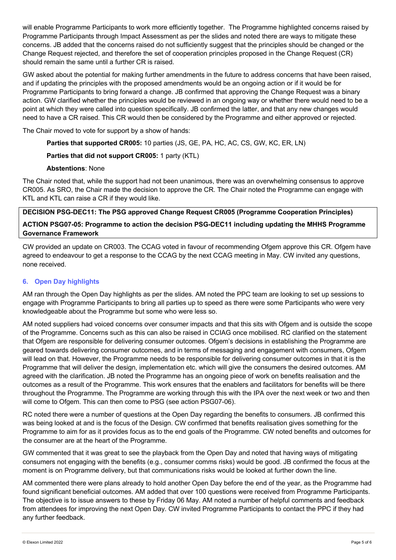will enable Programme Participants to work more efficiently together. The Programme highlighted concerns raised by Programme Participants through Impact Assessment as per the slides and noted there are ways to mitigate these concerns. JB added that the concerns raised do not sufficiently suggest that the principles should be changed or the Change Request rejected, and therefore the set of cooperation principles proposed in the Change Request (CR) should remain the same until a further CR is raised.

GW asked about the potential for making further amendments in the future to address concerns that have been raised, and if updating the principles with the proposed amendments would be an ongoing action or if it would be for Programme Participants to bring forward a change. JB confirmed that approving the Change Request was a binary action. GW clarified whether the principles would be reviewed in an ongoing way or whether there would need to be a point at which they were called into question specifically. JB confirmed the latter, and that any new changes would need to have a CR raised. This CR would then be considered by the Programme and either approved or rejected.

The Chair moved to vote for support by a show of hands:

**Parties that supported CR005:** 10 parties (JS, GE, PA, HC, AC, CS, GW, KC, ER, LN)

# **Parties that did not support CR005:** 1 party (KTL)

# **Abstentions**: None

The Chair noted that, while the support had not been unanimous, there was an overwhelming consensus to approve CR005. As SRO, the Chair made the decision to approve the CR. The Chair noted the Programme can engage with KTL and KTL can raise a CR if they would like.

**DECISION PSG-DEC11: The PSG approved Change Request CR005 (Programme Cooperation Principles) ACTION PSG07-05: Programme to action the decision PSG-DEC11 including updating the MHHS Programme Governance Framework**

CW provided an update on CR003. The CCAG voted in favour of recommending Ofgem approve this CR. Ofgem have agreed to endeavour to get a response to the CCAG by the next CCAG meeting in May. CW invited any questions, none received.

# **6. Open Day highlights**

AM ran through the Open Day highlights as per the slides. AM noted the PPC team are looking to set up sessions to engage with Programme Participants to bring all parties up to speed as there were some Participants who were very knowledgeable about the Programme but some who were less so.

AM noted suppliers had voiced concerns over consumer impacts and that this sits with Ofgem and is outside the scope of the Programme. Concerns such as this can also be raised in CCIAG once mobilised. RC clarified on the statement that Ofgem are responsible for delivering consumer outcomes. Ofgem's decisions in establishing the Programme are geared towards delivering consumer outcomes, and in terms of messaging and engagement with consumers, Ofgem will lead on that. However, the Programme needs to be responsible for delivering consumer outcomes in that it is the Programme that will deliver the design, implementation etc. which will give the consumers the desired outcomes. AM agreed with the clarification. JB noted the Programme has an ongoing piece of work on benefits realisation and the outcomes as a result of the Programme. This work ensures that the enablers and facilitators for benefits will be there throughout the Programme. The Programme are working through this with the IPA over the next week or two and then will come to Ofgem. This can then come to PSG (see action PSG07-06).

RC noted there were a number of questions at the Open Day regarding the benefits to consumers. JB confirmed this was being looked at and is the focus of the Design. CW confirmed that benefits realisation gives something for the Programme to aim for as it provides focus as to the end goals of the Programme. CW noted benefits and outcomes for the consumer are at the heart of the Programme.

GW commented that it was great to see the playback from the Open Day and noted that having ways of mitigating consumers not engaging with the benefits (e.g., consumer comms risks) would be good. JB confirmed the focus at the moment is on Programme delivery, but that communications risks would be looked at further down the line.

AM commented there were plans already to hold another Open Day before the end of the year, as the Programme had found significant beneficial outcomes. AM added that over 100 questions were received from Programme Participants. The objective is to issue answers to these by Friday 06 May. AM noted a number of helpful comments and feedback from attendees for improving the next Open Day. CW invited Programme Participants to contact the PPC if they had any further feedback.